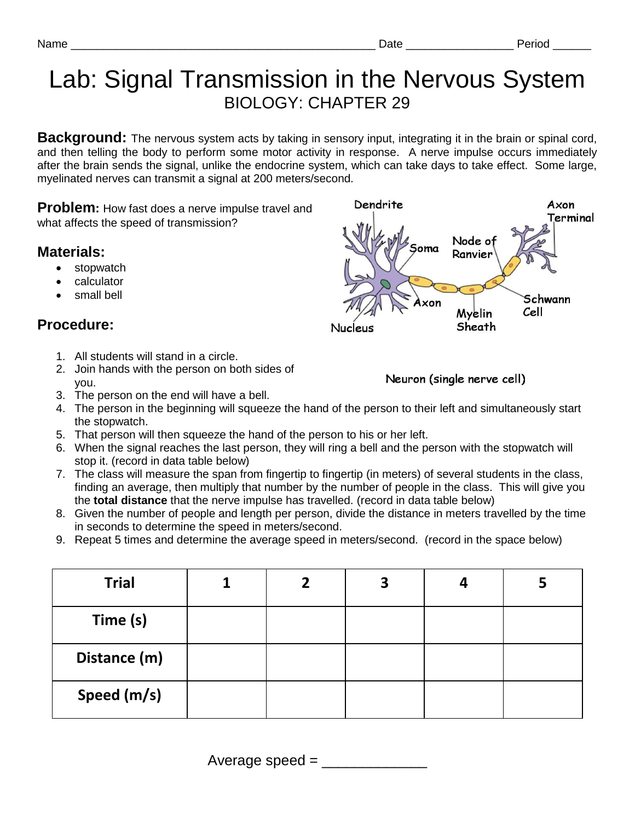## Lab: Signal Transmission in the Nervous System BIOLOGY: CHAPTER 29

**Background:** The nervous system acts by taking in sensory input, integrating it in the brain or spinal cord, and then telling the body to perform some motor activity in response. A nerve impulse occurs immediately after the brain sends the signal, unlike the endocrine system, which can take days to take effect. Some large, myelinated nerves can transmit a signal at 200 meters/second.

**Problem:** How fast does a nerve impulse travel and what affects the speed of transmission?

## **Materials:**

- stopwatch
- calculator
- small bell

## **Procedure:**

- 1. All students will stand in a circle.
- 2. Join hands with the person on both sides of you.

Neuron (single nerve cell)

- 3. The person on the end will have a bell.
- 4. The person in the beginning will squeeze the hand of the person to their left and simultaneously start the stopwatch.
- 5. That person will then squeeze the hand of the person to his or her left.
- 6. When the signal reaches the last person, they will ring a bell and the person with the stopwatch will stop it. (record in data table below)
- 7. The class will measure the span from fingertip to fingertip (in meters) of several students in the class, finding an average, then multiply that number by the number of people in the class. This will give you the **total distance** that the nerve impulse has travelled. (record in data table below)
- 8. Given the number of people and length per person, divide the distance in meters travelled by the time in seconds to determine the speed in meters/second.
- 9. Repeat 5 times and determine the average speed in meters/second. (record in the space below)

| <b>Trial</b> |  | 3 |  |
|--------------|--|---|--|
| Time (s)     |  |   |  |
| Distance (m) |  |   |  |
| Speed (m/s)  |  |   |  |